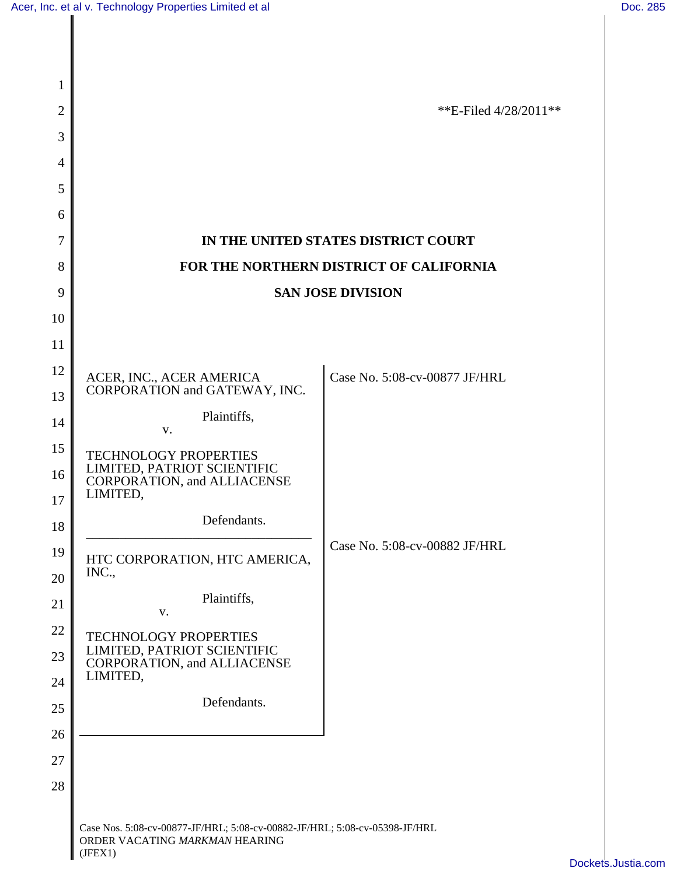| 1              |                                                                                                                         |                                     |
|----------------|-------------------------------------------------------------------------------------------------------------------------|-------------------------------------|
| $\overline{2}$ |                                                                                                                         | **E-Filed $4/28/2011**$             |
| 3              |                                                                                                                         |                                     |
| 4              |                                                                                                                         |                                     |
| 5              |                                                                                                                         |                                     |
| 6              |                                                                                                                         |                                     |
| 7              |                                                                                                                         | IN THE UNITED STATES DISTRICT COURT |
| 8              | FOR THE NORTHERN DISTRICT OF CALIFORNIA                                                                                 |                                     |
| 9              | <b>SAN JOSE DIVISION</b>                                                                                                |                                     |
| 10             |                                                                                                                         |                                     |
| 11             |                                                                                                                         |                                     |
| 12             | ACER, INC., ACER AMERICA                                                                                                | Case No. 5:08-cv-00877 JF/HRL       |
| 13             | CORPORATION and GATEWAY, INC.                                                                                           |                                     |
| 14             | Plaintiffs,<br>V.                                                                                                       |                                     |
| 15             | TECHNOLOGY PROPERTIES                                                                                                   |                                     |
| 16             | LIMITED, PATRIOT SCIENTIFIC<br><b>CORPORATION, and ALLIACENSE</b>                                                       |                                     |
| 17             | LIMITED,                                                                                                                |                                     |
| 18             | Defendants.                                                                                                             |                                     |
| 19             | HTC CORPORATION, HTC AMERICA,                                                                                           | Case No. 5:08-cv-00882 JF/HRL       |
| 20             | INC.,                                                                                                                   |                                     |
| 21             | Plaintiffs,<br>V.                                                                                                       |                                     |
| 22             | <b>TECHNOLOGY PROPERTIES</b><br>LIMITED, PATRIOT SCIENTIFIC<br><b>CORPORATION, and ALLIACENSE</b>                       |                                     |
| 23             |                                                                                                                         |                                     |
| 24             | LIMITED,                                                                                                                |                                     |
| 25             | Defendants.                                                                                                             |                                     |
| 26             |                                                                                                                         |                                     |
| 27             |                                                                                                                         |                                     |
| 28             |                                                                                                                         |                                     |
|                | Case Nos. 5:08-cv-00877-JF/HRL; 5:08-cv-00882-JF/HRL; 5:08-cv-05398-JF/HRL<br>ORDER VACATING MARKMAN HEARING<br>(JFEX1) |                                     |